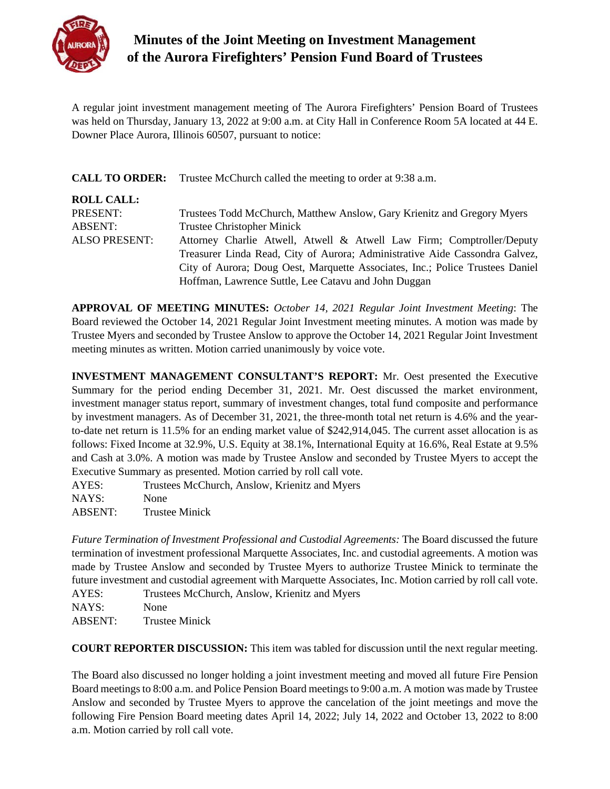

## **Minutes of the Joint Meeting on Investment Management of the Aurora Firefighters' Pension Fund Board of Trustees**

A regular joint investment management meeting of The Aurora Firefighters' Pension Board of Trustees was held on Thursday, January 13, 2022 at 9:00 a.m. at City Hall in Conference Room 5A located at 44 E. Downer Place Aurora, Illinois 60507, pursuant to notice:

|                      | <b>CALL TO ORDER:</b> Trustee McChurch called the meeting to order at 9:38 a.m. |
|----------------------|---------------------------------------------------------------------------------|
| <b>ROLL CALL:</b>    |                                                                                 |
| PRESENT:             | Trustees Todd McChurch, Matthew Anslow, Gary Krienitz and Gregory Myers         |
| <b>ABSENT:</b>       | <b>Trustee Christopher Minick</b>                                               |
| <b>ALSO PRESENT:</b> | Attorney Charlie Atwell, Atwell & Atwell Law Firm; Comptroller/Deputy           |
|                      | Treasurer Linda Read, City of Aurora; Administrative Aide Cassondra Galvez,     |
|                      | City of Aurora; Doug Oest, Marquette Associates, Inc.; Police Trustees Daniel   |
|                      | Hoffman, Lawrence Suttle, Lee Catavu and John Duggan                            |

**APPROVAL OF MEETING MINUTES:** *October 14, 2021 Regular Joint Investment Meeting*: The Board reviewed the October 14, 2021 Regular Joint Investment meeting minutes. A motion was made by Trustee Myers and seconded by Trustee Anslow to approve the October 14, 2021 Regular Joint Investment meeting minutes as written. Motion carried unanimously by voice vote.

**INVESTMENT MANAGEMENT CONSULTANT'S REPORT:** Mr. Oest presented the Executive Summary for the period ending December 31, 2021. Mr. Oest discussed the market environment, investment manager status report, summary of investment changes, total fund composite and performance by investment managers. As of December 31, 2021, the three-month total net return is 4.6% and the yearto-date net return is 11.5% for an ending market value of \$242,914,045. The current asset allocation is as follows: Fixed Income at 32.9%, U.S. Equity at 38.1%, International Equity at 16.6%, Real Estate at 9.5% and Cash at 3.0%. A motion was made by Trustee Anslow and seconded by Trustee Myers to accept the Executive Summary as presented. Motion carried by roll call vote.

| AYES:   | Trustees McChurch, Anslow, Krienitz and Myers |
|---------|-----------------------------------------------|
| NAYS:   | None                                          |
| ABSENT: | <b>Trustee Minick</b>                         |

*Future Termination of Investment Professional and Custodial Agreements:* The Board discussed the future termination of investment professional Marquette Associates, Inc. and custodial agreements. A motion was made by Trustee Anslow and seconded by Trustee Myers to authorize Trustee Minick to terminate the future investment and custodial agreement with Marquette Associates, Inc. Motion carried by roll call vote.

AYES: Trustees McChurch, Anslow, Krienitz and Myers

NAYS: None

ABSENT: Trustee Minick

**COURT REPORTER DISCUSSION:** This item was tabled for discussion until the next regular meeting.

The Board also discussed no longer holding a joint investment meeting and moved all future Fire Pension Board meetings to 8:00 a.m. and Police Pension Board meetings to 9:00 a.m. A motion was made by Trustee Anslow and seconded by Trustee Myers to approve the cancelation of the joint meetings and move the following Fire Pension Board meeting dates April 14, 2022; July 14, 2022 and October 13, 2022 to 8:00 a.m. Motion carried by roll call vote.